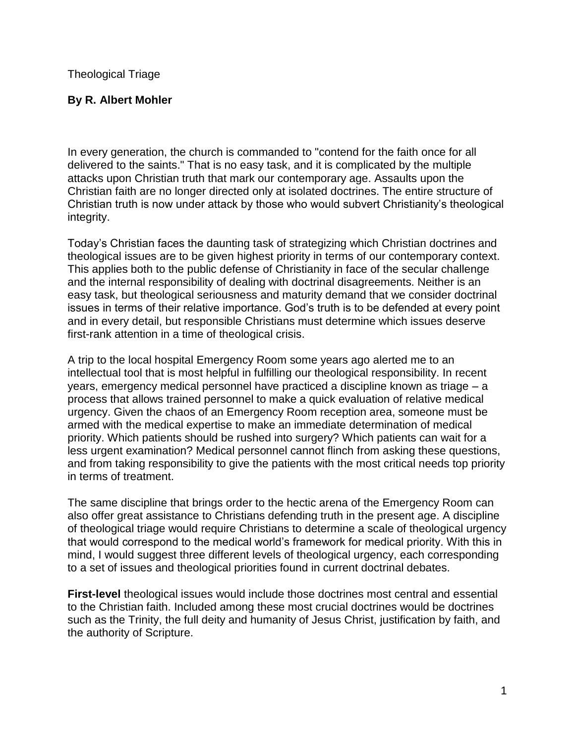Theological Triage

## **By R. Albert Mohler**

In every generation, the church is commanded to "contend for the faith once for all delivered to the saints." That is no easy task, and it is complicated by the multiple attacks upon Christian truth that mark our contemporary age. Assaults upon the Christian faith are no longer directed only at isolated doctrines. The entire structure of Christian truth is now under attack by those who would subvert Christianity's theological integrity.

Today's Christian faces the daunting task of strategizing which Christian doctrines and theological issues are to be given highest priority in terms of our contemporary context. This applies both to the public defense of Christianity in face of the secular challenge and the internal responsibility of dealing with doctrinal disagreements. Neither is an easy task, but theological seriousness and maturity demand that we consider doctrinal issues in terms of their relative importance. God's truth is to be defended at every point and in every detail, but responsible Christians must determine which issues deserve first-rank attention in a time of theological crisis.

A trip to the local hospital Emergency Room some years ago alerted me to an intellectual tool that is most helpful in fulfilling our theological responsibility. In recent years, emergency medical personnel have practiced a discipline known as triage – a process that allows trained personnel to make a quick evaluation of relative medical urgency. Given the chaos of an Emergency Room reception area, someone must be armed with the medical expertise to make an immediate determination of medical priority. Which patients should be rushed into surgery? Which patients can wait for a less urgent examination? Medical personnel cannot flinch from asking these questions, and from taking responsibility to give the patients with the most critical needs top priority in terms of treatment.

The same discipline that brings order to the hectic arena of the Emergency Room can also offer great assistance to Christians defending truth in the present age. A discipline of theological triage would require Christians to determine a scale of theological urgency that would correspond to the medical world's framework for medical priority. With this in mind, I would suggest three different levels of theological urgency, each corresponding to a set of issues and theological priorities found in current doctrinal debates.

**First-level** theological issues would include those doctrines most central and essential to the Christian faith. Included among these most crucial doctrines would be doctrines such as the Trinity, the full deity and humanity of Jesus Christ, justification by faith, and the authority of Scripture.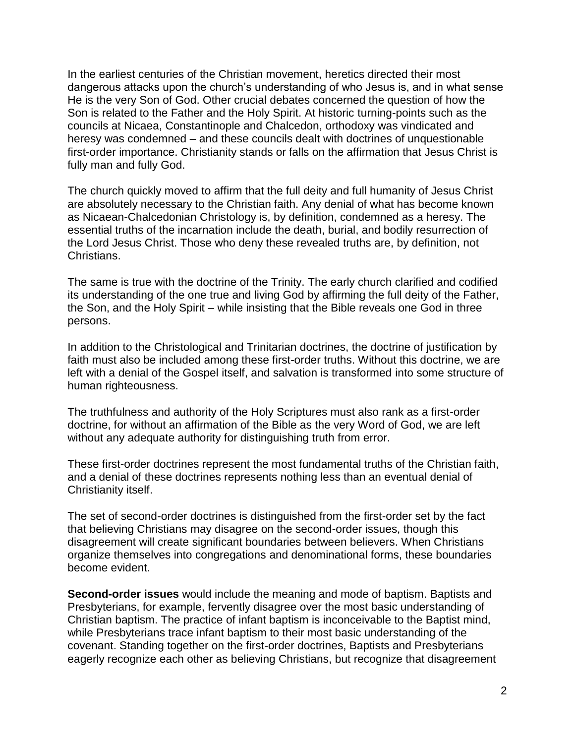In the earliest centuries of the Christian movement, heretics directed their most dangerous attacks upon the church's understanding of who Jesus is, and in what sense He is the very Son of God. Other crucial debates concerned the question of how the Son is related to the Father and the Holy Spirit. At historic turning-points such as the councils at Nicaea, Constantinople and Chalcedon, orthodoxy was vindicated and heresy was condemned – and these councils dealt with doctrines of unquestionable first-order importance. Christianity stands or falls on the affirmation that Jesus Christ is fully man and fully God.

The church quickly moved to affirm that the full deity and full humanity of Jesus Christ are absolutely necessary to the Christian faith. Any denial of what has become known as Nicaean-Chalcedonian Christology is, by definition, condemned as a heresy. The essential truths of the incarnation include the death, burial, and bodily resurrection of the Lord Jesus Christ. Those who deny these revealed truths are, by definition, not Christians.

The same is true with the doctrine of the Trinity. The early church clarified and codified its understanding of the one true and living God by affirming the full deity of the Father, the Son, and the Holy Spirit – while insisting that the Bible reveals one God in three persons.

In addition to the Christological and Trinitarian doctrines, the doctrine of justification by faith must also be included among these first-order truths. Without this doctrine, we are left with a denial of the Gospel itself, and salvation is transformed into some structure of human righteousness.

The truthfulness and authority of the Holy Scriptures must also rank as a first-order doctrine, for without an affirmation of the Bible as the very Word of God, we are left without any adequate authority for distinguishing truth from error.

These first-order doctrines represent the most fundamental truths of the Christian faith, and a denial of these doctrines represents nothing less than an eventual denial of Christianity itself.

The set of second-order doctrines is distinguished from the first-order set by the fact that believing Christians may disagree on the second-order issues, though this disagreement will create significant boundaries between believers. When Christians organize themselves into congregations and denominational forms, these boundaries become evident.

**Second-order issues** would include the meaning and mode of baptism. Baptists and Presbyterians, for example, fervently disagree over the most basic understanding of Christian baptism. The practice of infant baptism is inconceivable to the Baptist mind, while Presbyterians trace infant baptism to their most basic understanding of the covenant. Standing together on the first-order doctrines, Baptists and Presbyterians eagerly recognize each other as believing Christians, but recognize that disagreement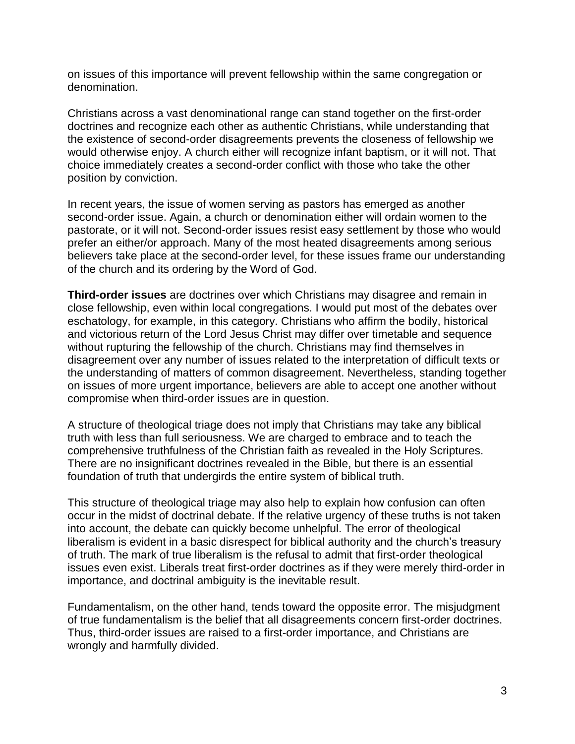on issues of this importance will prevent fellowship within the same congregation or denomination.

Christians across a vast denominational range can stand together on the first-order doctrines and recognize each other as authentic Christians, while understanding that the existence of second-order disagreements prevents the closeness of fellowship we would otherwise enjoy. A church either will recognize infant baptism, or it will not. That choice immediately creates a second-order conflict with those who take the other position by conviction.

In recent years, the issue of women serving as pastors has emerged as another second-order issue. Again, a church or denomination either will ordain women to the pastorate, or it will not. Second-order issues resist easy settlement by those who would prefer an either/or approach. Many of the most heated disagreements among serious believers take place at the second-order level, for these issues frame our understanding of the church and its ordering by the Word of God.

**Third-order issues** are doctrines over which Christians may disagree and remain in close fellowship, even within local congregations. I would put most of the debates over eschatology, for example, in this category. Christians who affirm the bodily, historical and victorious return of the Lord Jesus Christ may differ over timetable and sequence without rupturing the fellowship of the church. Christians may find themselves in disagreement over any number of issues related to the interpretation of difficult texts or the understanding of matters of common disagreement. Nevertheless, standing together on issues of more urgent importance, believers are able to accept one another without compromise when third-order issues are in question.

A structure of theological triage does not imply that Christians may take any biblical truth with less than full seriousness. We are charged to embrace and to teach the comprehensive truthfulness of the Christian faith as revealed in the Holy Scriptures. There are no insignificant doctrines revealed in the Bible, but there is an essential foundation of truth that undergirds the entire system of biblical truth.

This structure of theological triage may also help to explain how confusion can often occur in the midst of doctrinal debate. If the relative urgency of these truths is not taken into account, the debate can quickly become unhelpful. The error of theological liberalism is evident in a basic disrespect for biblical authority and the church's treasury of truth. The mark of true liberalism is the refusal to admit that first-order theological issues even exist. Liberals treat first-order doctrines as if they were merely third-order in importance, and doctrinal ambiguity is the inevitable result.

Fundamentalism, on the other hand, tends toward the opposite error. The misjudgment of true fundamentalism is the belief that all disagreements concern first-order doctrines. Thus, third-order issues are raised to a first-order importance, and Christians are wrongly and harmfully divided.